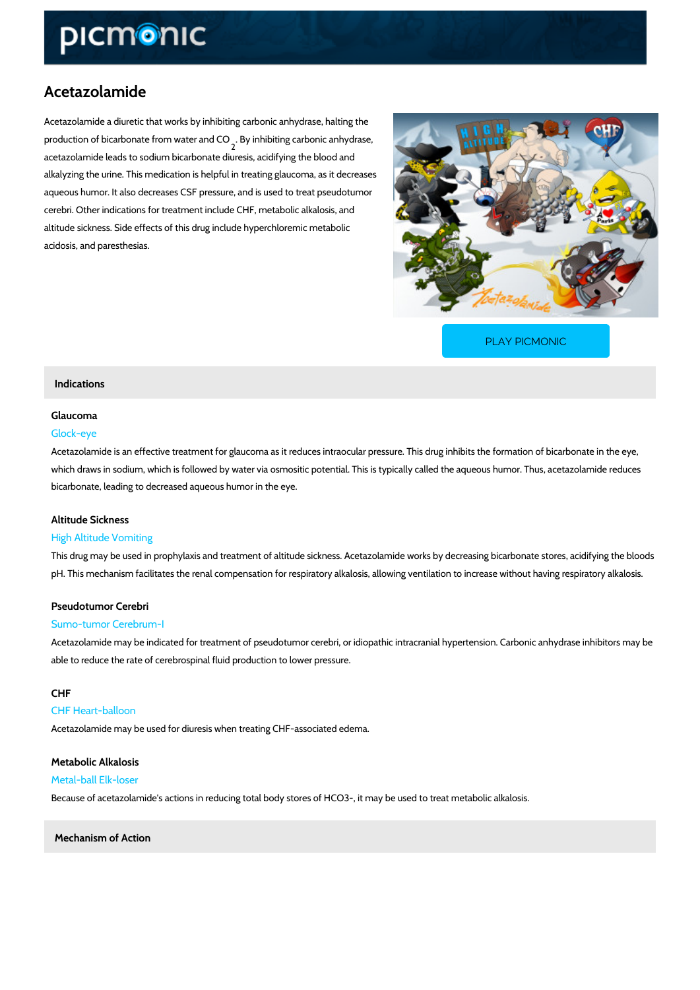# Acetazolamide

Acetazolamide a diuretic that works by inhibiting carbonic anhydrase, halting the production of bicarbonate fromBywiantheimbiathindig CoQarbonic anhydrase,<br><sup>2</sup> acetazolamide leads to sodium bicarbonate diuresis, acidifying the blood and alkalyzing the urine. This medication is helpful in treating glaucoma, as it decreases aqueous humor. It also decreases CSF pressure, and is used to treat pseudotumor cerebri. Other indications for treatment include CHF, metabolic alkalosis, and altitude sickness. Side effects of this drug include hyperchloremic metabolic acidosis, and paresthesias.

[PLAY PICMONIC](https://www.picmonic.com/learn/acetazolamide_1207?utm_source=downloadable_content&utm_medium=distributedcontent&utm_campaign=pathways_pdf&utm_content=Acetazolamide&utm_ad_group=leads&utm_market=all)

## Indications

## Glaucoma

## Glock-eye

Acetazolamide is an effective treatment for glaucoma as it reduces intraocular pressure. This which draws in sodium, which is followed by water via osmositic potential. This is typically ca bicarbonate, leading to decreased aqueous humor in the eye.

## Altitude Sickness

## High Altitude Vomiting

This drug may be used in prophylaxis and treatment of altitude sickness. Acetazolamide works pH. This mechanism facilitates the renal compensation for respiratory alkalosis, allowing vent

## Pseudotumor Cerebri Sumo-tumor Cerebrum-I

Acetazolamide may be indicated for treatment of pseudotumor cerebri, or idiopathic intracrani able to reduce the rate of cerebrospinal fluid production to lower pressure.

## CHF

## CHF Heart-balloon

Acetazolamide may be used for diuresis when treating CHF-associated edema.

## Metabolic Alkalosis

## Metal-ball Elk-loser

Because of acetazolamide's actions in reducing total body stores of HCO3-, it may be used to

Mechanism of Action